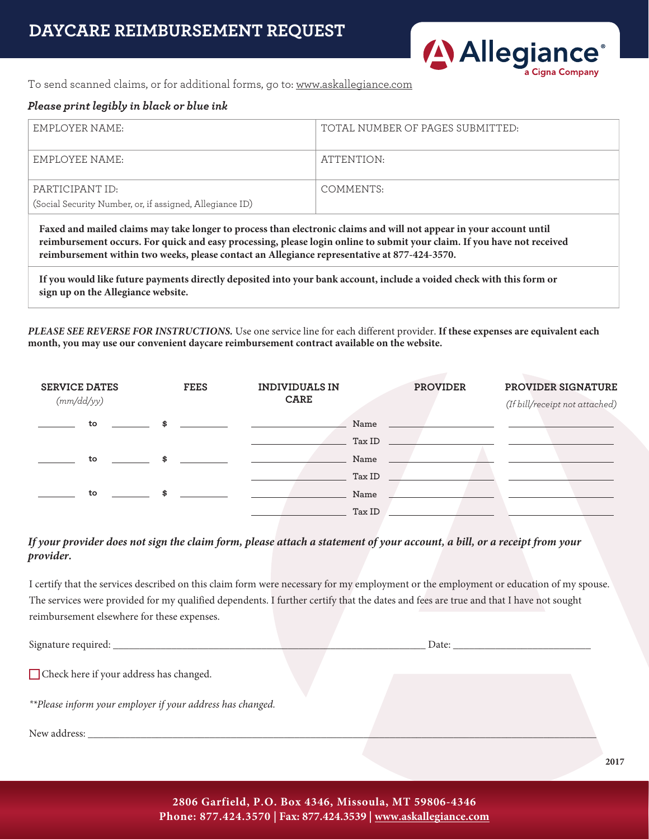

To send scanned claims, or for additional forms, go to: www.askallegiance.com

#### *Please print legibly in black or blue ink*

| EMPLOYER NAME:                                                              | TOTAL NUMBER OF PAGES SUBMITTED: |
|-----------------------------------------------------------------------------|----------------------------------|
| EMPLOYEE NAME:                                                              | ATTENTION:                       |
| PARTICIPANT ID:<br>(Social Security Number, or, if assigned, Allegiance ID) | COMMENTS:                        |
|                                                                             |                                  |

**Faxed and mailed claims may take longer to process than electronic claims and will not appear in your account until reimbursement occurs. For quick and easy processing, please login online to submit your claim. If you have not received reimbursement within two weeks, please contact an Allegiance representative at 877-424-3570.**

**If you would like future payments directly deposited into your bank account, include a voided check with this form or sign up on the Allegiance website.**

*PLEASE SEE REVERSE FOR INSTRUCTIONS.* Use one service line for each different provider. **If these expenses are equivalent each month, you may use our convenient daycare reimbursement contract available on the website.**

| <b>SERVICE DATES</b><br>(mm/dd/yy) | <b>FEES</b> | <b>INDIVIDUALS IN</b><br><b>CARE</b>                | <b>PROVIDER</b> | PROVIDER SIGNATURE<br>(If bill/receipt not attached)                                                                  |
|------------------------------------|-------------|-----------------------------------------------------|-----------------|-----------------------------------------------------------------------------------------------------------------------|
| to                                 |             |                                                     | Name            | the contract of the contract of the contract of the con-                                                              |
|                                    |             |                                                     | Tax ID          | <u> 1989 - Jan Sterling von de Berling von de Berling von de Berling von de Berling von de Berling von de Berling</u> |
| to                                 |             |                                                     | Name            | the contract of the contract of the contract of the contract of the contract of                                       |
|                                    |             | Tax ID                                              |                 |                                                                                                                       |
| to                                 | \$          | the contract of the contract of the contract of the | Name            |                                                                                                                       |
|                                    |             | Tax ID                                              |                 |                                                                                                                       |

### *If your provider does not sign the claim form, please attach a statement of your account, a bill, or a receipt from your provider.*

I certify that the services described on this claim form were necessary for my employment or the employment or education of my spouse. The services were provided for my qualified dependents. I further certify that the dates and fees are true and that I have not sought reimbursement elsewhere for these expenses.

| Signature required:                                        |  | Date: |  |
|------------------------------------------------------------|--|-------|--|
| Check here if your address has changed.                    |  |       |  |
| **Please inform your employer if your address has changed. |  |       |  |

New address: \_\_\_\_\_\_\_\_\_\_\_\_\_\_\_\_\_\_\_\_\_\_\_\_\_\_\_\_\_\_\_\_\_\_\_\_\_\_\_\_\_\_\_\_\_\_\_\_\_\_\_\_\_\_\_\_\_\_\_\_\_\_\_\_\_\_\_\_\_\_\_\_\_\_\_\_\_\_\_\_\_\_\_\_\_\_\_\_\_\_\_\_\_\_\_\_